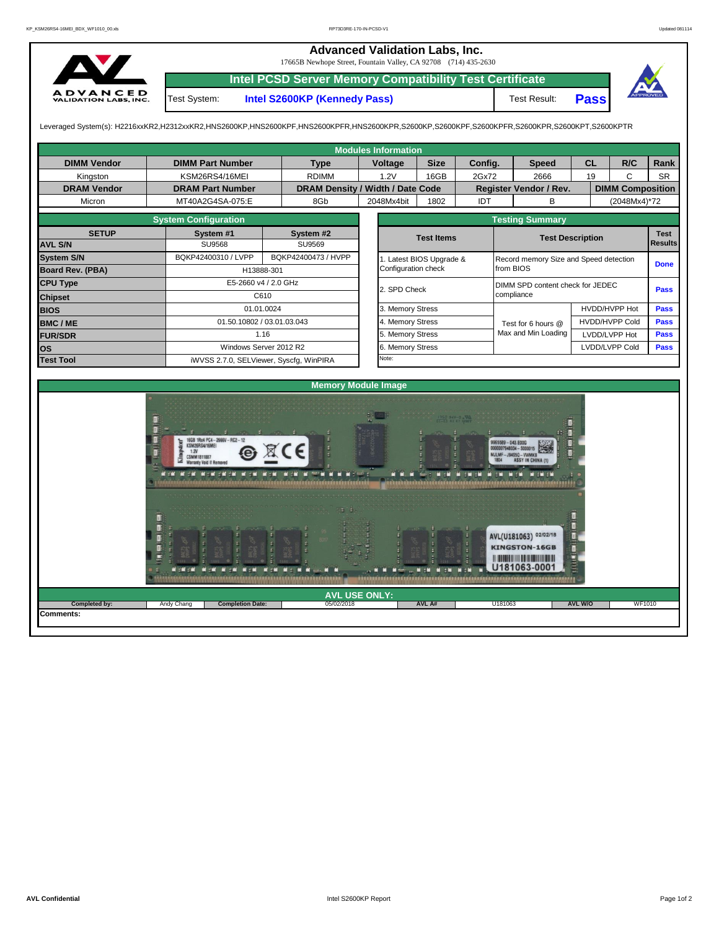## **Advanced Validation Labs, Inc.**

17665B Newhope Street, Fountain Valley, CA 92708 (714) 435-2630



**Intel PCSD Server Memory Compatibility Test Certificate**

Test System: **Intel S2600KP (Kennedy Pass)** Test Result:



**Pass**

Leveraged System(s): H2216xxKR2,H2312xxKR2,HNS2600KP,HNS2600KPF,HNS2600KPFR,HNS2600KPR,S2600KP,S2600KPF,S2600KPFR,S2600KPR,S2600KPT,S2600KPTR

| <b>Modules Information</b> |                                                                                                                      |      |                                  |                      |                                                                    |                        |                                  |                                                                                                       |                       |                         |                |  |  |
|----------------------------|----------------------------------------------------------------------------------------------------------------------|------|----------------------------------|----------------------|--------------------------------------------------------------------|------------------------|----------------------------------|-------------------------------------------------------------------------------------------------------|-----------------------|-------------------------|----------------|--|--|
| <b>DIMM Vendor</b>         | <b>DIMM Part Number</b>                                                                                              |      | <b>Type</b>                      | Voltage              | <b>Size</b><br>Config.                                             |                        |                                  | <b>Speed</b>                                                                                          | <b>CL</b>             | R/C                     | Rank           |  |  |
| Kingston                   | KSM26RS4/16MEI                                                                                                       |      | <b>RDIMM</b>                     | 1.2V                 | 16GB                                                               | 2Gx72                  |                                  | 2666                                                                                                  | 19                    | $\mathsf{C}$            | <b>SR</b>      |  |  |
| <b>DRAM Vendor</b>         | <b>DRAM Part Number</b>                                                                                              |      | DRAM Density / Width / Date Code |                      |                                                                    |                        |                                  | Register Vendor / Rev.                                                                                |                       | <b>DIMM Composition</b> |                |  |  |
| Micron                     | MT40A2G4SA-075:E                                                                                                     |      | 8Gb                              | 2048Mx4bit           | 1802                                                               | IDT                    |                                  | B                                                                                                     |                       | (2048Mx4)*72            |                |  |  |
|                            | <b>System Configuration</b>                                                                                          |      |                                  |                      |                                                                    | <b>Testing Summary</b> |                                  |                                                                                                       |                       |                         |                |  |  |
| <b>SETUP</b>               | System #1                                                                                                            |      | System #2                        |                      | <b>Test Items</b>                                                  |                        |                                  | <b>Test Description</b>                                                                               |                       |                         |                |  |  |
| <b>AVL S/N</b>             | <b>SU9568</b>                                                                                                        |      | <b>SU9569</b>                    |                      |                                                                    |                        |                                  |                                                                                                       |                       |                         | <b>Results</b> |  |  |
| <b>System S/N</b>          | BQKP42400310 / LVPP                                                                                                  |      | BQKP42400473 / HVPP              |                      | 1. Latest BIOS Upgrade &<br>Record memory Size and Speed detection |                        |                                  |                                                                                                       |                       |                         | <b>Done</b>    |  |  |
| Board Rev. (PBA)           | H13888-301                                                                                                           |      |                                  | Configuration check  |                                                                    |                        | from BIOS                        |                                                                                                       |                       |                         |                |  |  |
| <b>CPU Type</b>            | E5-2660 v4 / 2.0 GHz                                                                                                 |      |                                  | 2. SPD Check         |                                                                    |                        | DIMM SPD content check for JEDEC | <b>Pass</b>                                                                                           |                       |                         |                |  |  |
| <b>Chipset</b>             |                                                                                                                      | C610 |                                  |                      |                                                                    |                        | compliance                       |                                                                                                       |                       |                         |                |  |  |
| <b>BIOS</b>                | 01.01.0024                                                                                                           |      |                                  |                      | 3. Memory Stress                                                   |                        |                                  |                                                                                                       | HVDD/HVPP Hot         | Pass                    |                |  |  |
| <b>BMC/ME</b>              | 01.50.10802 / 03.01.03.043                                                                                           |      |                                  | 4. Memory Stress     |                                                                    |                        |                                  | Test for 6 hours @                                                                                    | <b>HVDD/HVPP Cold</b> | <b>Pass</b>             |                |  |  |
| <b>FUR/SDR</b>             |                                                                                                                      | 1.16 |                                  | 5. Memory Stress     |                                                                    |                        |                                  | Max and Min Loading                                                                                   | LVDD/LVPP Hot         | Pass                    |                |  |  |
| <b>OS</b>                  | Windows Server 2012 R2                                                                                               |      |                                  | 6. Memory Stress     |                                                                    |                        |                                  |                                                                                                       |                       | LVDD/LVPP Cold          | Pass           |  |  |
| <b>Test Tool</b>           | iWVSS 2.7.0, SELViewer, Syscfg, WinPIRA                                                                              |      |                                  | Note:                |                                                                    |                        |                                  |                                                                                                       |                       |                         |                |  |  |
|                            |                                                                                                                      |      |                                  |                      |                                                                    |                        |                                  |                                                                                                       |                       |                         |                |  |  |
| <b>Memory Module Image</b> |                                                                                                                      |      |                                  |                      |                                                                    |                        |                                  |                                                                                                       |                       |                         |                |  |  |
|                            | B.<br>16GB 1Rx4 PC4-2666V-RC2-12<br>KSM26RS4/16MEI<br>1.2V<br>CSMM1811887<br><b>Warranty Void If Removed</b><br>an i |      |                                  |                      |                                                                    |                        |                                  | $-043. E00G$<br>948034 - \$000015<br>le X<br>MJLMF-J94S50-VWMKB<br><b>ASSY IN CHINA (1)</b><br>888888 |                       |                         |                |  |  |
|                            |                                                                                                                      |      |                                  | <b>AVL USE ONLY:</b> |                                                                    |                        |                                  | AVL(U181063) 02/02/18<br><b>KINGSTON-16GB</b><br>U181063-0001                                         | Đ<br>TRUCK.           |                         |                |  |  |
| Completed by:<br>Comments: | <b>Completion Date:</b><br>Andy Chang                                                                                |      | 05/02/2018                       |                      | AVL A#                                                             |                        | U181063                          |                                                                                                       | AVL W/O               | <b>WF1010</b>           |                |  |  |